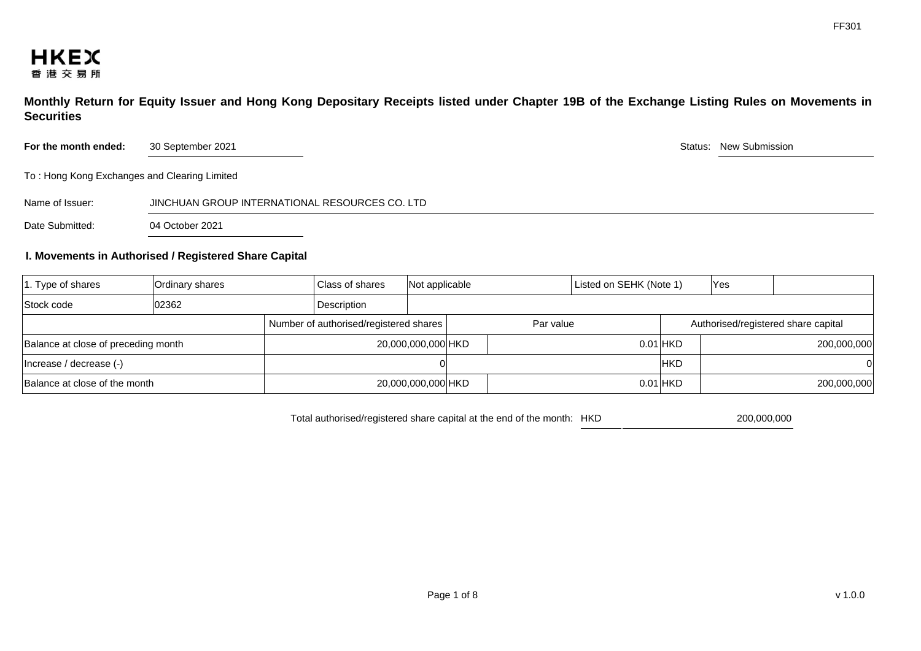**Monthly Return for Equity Issuer and Hong Kong Depositary Receipts listed under Chapter 19B of the Exchange Listing Rules on Movements in Securities** 

**For the month ended:** 30 September 2021 30 September 2021 30 Status: New Submission

To : Hong Kong Exchanges and Clearing Limited

Name of Issuer: JINCHUAN GROUP INTERNATIONAL RESOURCES CO. LTD

Date Submitted: 04 October 2021

## **I. Movements in Authorised / Registered Share Capital**

| $ 1.$ Type of shares                | Ordinary shares | Class of shares    |                                        | Not applicable |           |  | Listed on SEHK (Note 1) |                                     | <b>Yes</b> |             |
|-------------------------------------|-----------------|--------------------|----------------------------------------|----------------|-----------|--|-------------------------|-------------------------------------|------------|-------------|
| Stock code                          | 02362           | Description        |                                        |                |           |  |                         |                                     |            |             |
|                                     |                 |                    | Number of authorised/registered shares |                | Par value |  |                         | Authorised/registered share capital |            |             |
| Balance at close of preceding month |                 | 20,000,000,000 HKD |                                        |                |           |  |                         | $0.01$ HKD                          |            | 200,000,000 |
| Increase / decrease (-)             |                 |                    |                                        |                |           |  |                         | <b>IHKD</b>                         |            | 0           |
| Balance at close of the month       |                 |                    | 20,000,000,000 HKD                     |                |           |  |                         | $0.01$ HKD                          |            | 200,000,000 |

Total authorised/registered share capital at the end of the month: HKD 200,000,000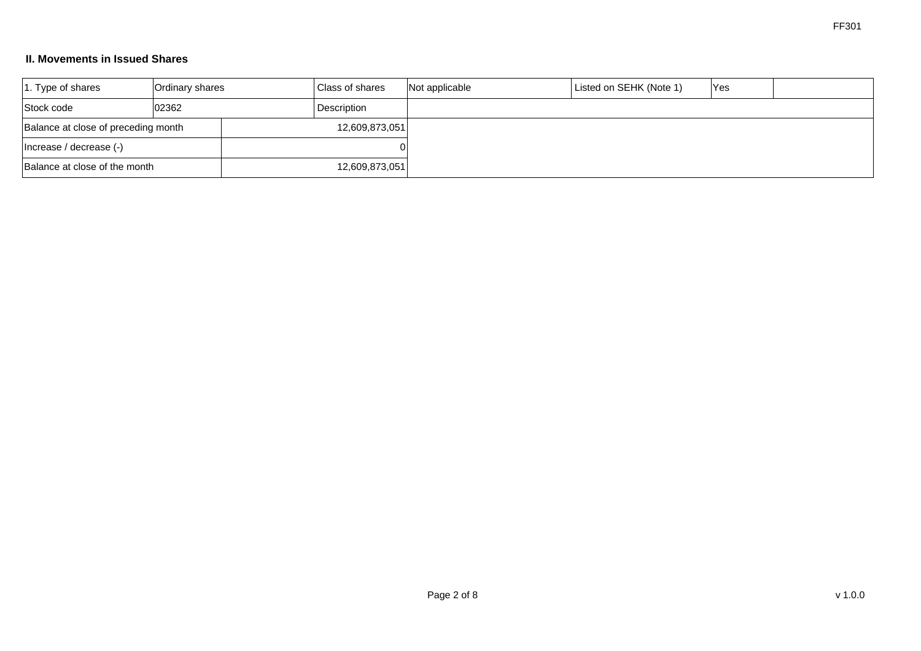## **II. Movements in Issued Shares**

| $ 1.$ Type of shares                | Ordinary shares |  | <b>Class of shares</b> | Not applicable | Listed on SEHK (Note 1) | <b>Yes</b> |  |
|-------------------------------------|-----------------|--|------------------------|----------------|-------------------------|------------|--|
| Stock code                          | 02362           |  | Description            |                |                         |            |  |
| Balance at close of preceding month |                 |  | 12,609,873,051         |                |                         |            |  |
| Increase / decrease (-)             |                 |  |                        |                |                         |            |  |
| Balance at close of the month       |                 |  | 12,609,873,051         |                |                         |            |  |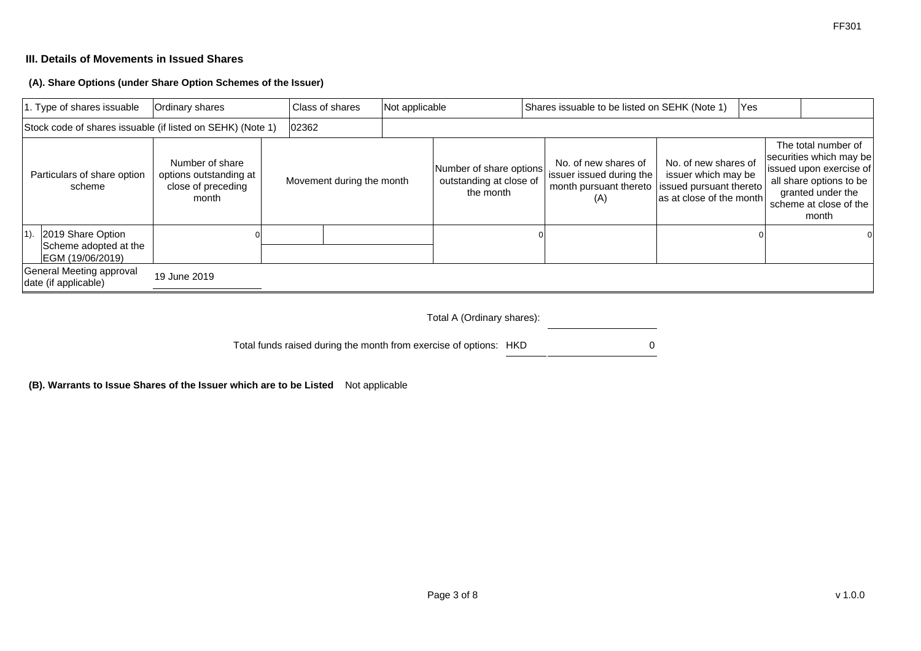# **III. Details of Movements in Issued Shares**

**(A). Share Options (under Share Option Schemes of the Issuer)**

|        | 1. Type of shares issuable                                     | Ordinary shares                                                          | Class of shares           | Not applicable |                                                                 |  | Shares issuable to be listed on SEHK (Note 1)                                     |                                                                                                    | <b>Yes</b> |                                                                                                                                                              |  |
|--------|----------------------------------------------------------------|--------------------------------------------------------------------------|---------------------------|----------------|-----------------------------------------------------------------|--|-----------------------------------------------------------------------------------|----------------------------------------------------------------------------------------------------|------------|--------------------------------------------------------------------------------------------------------------------------------------------------------------|--|
|        | Stock code of shares issuable (if listed on SEHK) (Note 1)     |                                                                          | 02362                     |                |                                                                 |  |                                                                                   |                                                                                                    |            |                                                                                                                                                              |  |
|        | Particulars of share option<br>scheme                          | Number of share<br>options outstanding at<br>close of preceding<br>month | Movement during the month |                | Number of share options<br>outstanding at close of<br>the month |  | No. of new shares of<br>issuer issued during the<br>month pursuant thereto<br>(A) | No. of new shares of<br>issuer which may be<br>issued pursuant thereto<br>as at close of the month |            | The total number of<br>securities which may be<br>issued upon exercise of<br>all share options to be<br>granted under the<br>scheme at close of the<br>month |  |
| $1$ ). | 2019 Share Option<br>Scheme adopted at the<br>EGM (19/06/2019) |                                                                          |                           |                |                                                                 |  |                                                                                   |                                                                                                    |            |                                                                                                                                                              |  |
|        | General Meeting approval<br>date (if applicable)               | 19 June 2019                                                             |                           |                |                                                                 |  |                                                                                   |                                                                                                    |            |                                                                                                                                                              |  |

#### Total A (Ordinary shares):

Total funds raised during the month from exercise of options: HKD 0

**(B). Warrants to Issue Shares of the Issuer which are to be Listed** Not applicable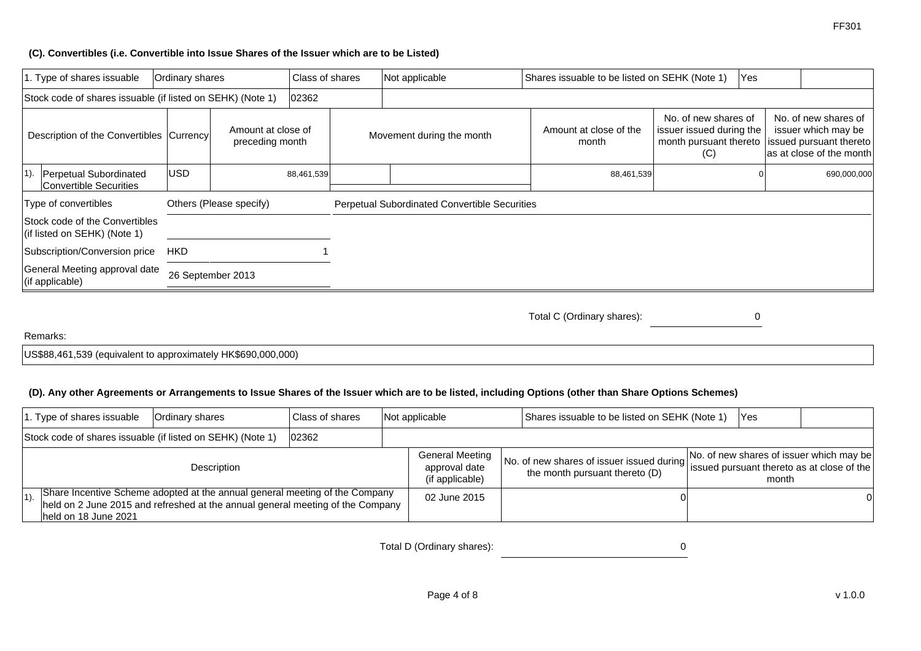#### **(C). Convertibles (i.e. Convertible into Issue Shares of the Issuer which are to be Listed)**

|        | 1. Type of shares issuable                                     | Ordinary shares |                                       | Class of shares | Not applicable                                | Shares issuable to be listed on SEHK (Note 1) |     | <b>Yes</b> |                                                                            |             |                                                                                                                                                                 |  |
|--------|----------------------------------------------------------------|-----------------|---------------------------------------|-----------------|-----------------------------------------------|-----------------------------------------------|-----|------------|----------------------------------------------------------------------------|-------------|-----------------------------------------------------------------------------------------------------------------------------------------------------------------|--|
|        | Stock code of shares issuable (if listed on SEHK) (Note 1)     |                 |                                       | 02362           |                                               |                                               |     |            |                                                                            |             |                                                                                                                                                                 |  |
|        | Description of the Convertibles Currency                       |                 | Amount at close of<br>preceding month |                 | Movement during the month                     | Amount at close of the<br>month               | (C) |            | No. of new shares of<br>issuer issued during the<br>month pursuant thereto |             | No. of new shares of<br>issuer which may be<br>issued pursuant thereto<br>$\mathop{\mathsf{las}}\nolimits$ at close of the month $\mathop{\mathsf{I}}\nolimits$ |  |
| $1$ ). | Perpetual Subordinated<br>Convertible Securities               | lusd.           |                                       | 88,461,539      |                                               | 88,461,539                                    |     |            |                                                                            | 690,000,000 |                                                                                                                                                                 |  |
|        | Type of convertibles                                           |                 | Others (Please specify)               |                 | Perpetual Subordinated Convertible Securities |                                               |     |            |                                                                            |             |                                                                                                                                                                 |  |
|        | Stock code of the Convertibles<br>(if listed on SEHK) (Note 1) |                 |                                       |                 |                                               |                                               |     |            |                                                                            |             |                                                                                                                                                                 |  |
|        | Subscription/Conversion price                                  | <b>HKD</b>      |                                       |                 |                                               |                                               |     |            |                                                                            |             |                                                                                                                                                                 |  |
|        | General Meeting approval date<br>(if applicable)               |                 | 26 September 2013                     |                 |                                               |                                               |     |            |                                                                            |             |                                                                                                                                                                 |  |

Total C (Ordinary shares): 0

#### Remarks:

US\$88,461,539 (equivalent to approximately HK\$690,000,000)

## **(D). Any other Agreements or Arrangements to Issue Shares of the Issuer which are to be listed, including Options (other than Share Options Schemes)**

|         | 1. Type of shares issuable | Ordinary shares                                                                                                                                               | Class of shares | Not applicable                                             | Shares issuable to be listed on SEHK (Note 1)                                                                            | IYes  |   |
|---------|----------------------------|---------------------------------------------------------------------------------------------------------------------------------------------------------------|-----------------|------------------------------------------------------------|--------------------------------------------------------------------------------------------------------------------------|-------|---|
|         |                            | Stock code of shares issuable (if listed on SEHK) (Note 1)                                                                                                    | 02362           |                                                            |                                                                                                                          |       |   |
|         |                            | Description                                                                                                                                                   |                 | <b>General Meeting</b><br>approval date<br>(if applicable) | No. of new shares of issuer issued during   issued pursuant thereto as at close of the<br>the month pursuant thereto (D) | month |   |
| $ 1$ ). | held on 18 June 2021       | Share Incentive Scheme adopted at the annual general meeting of the Company<br>held on 2 June 2015 and refreshed at the annual general meeting of the Company |                 | 02 June 2015                                               |                                                                                                                          |       | 0 |

Total D (Ordinary shares): 0

FF301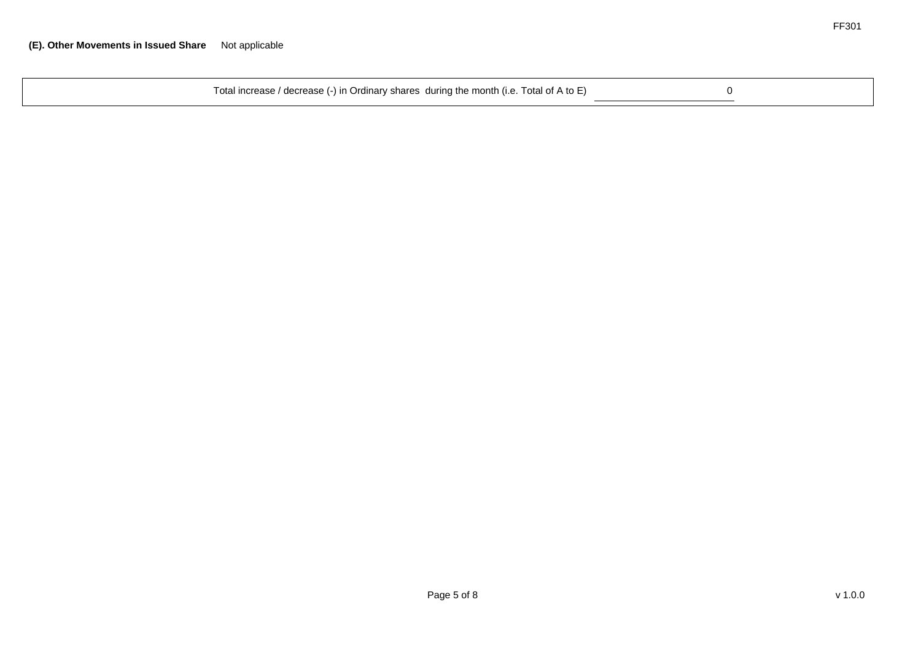| Total increase / decrease (-) in Ordinary shares during the month (i.e. Total of A to E) |  |
|------------------------------------------------------------------------------------------|--|
|------------------------------------------------------------------------------------------|--|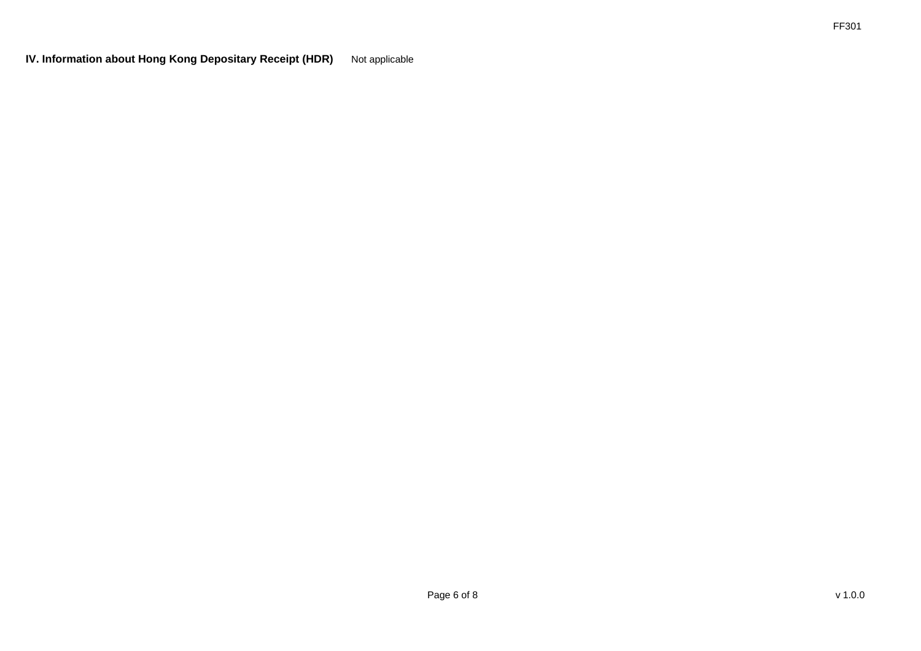**IV. Information about Hong Kong Depositary Receipt (HDR)** Not applicable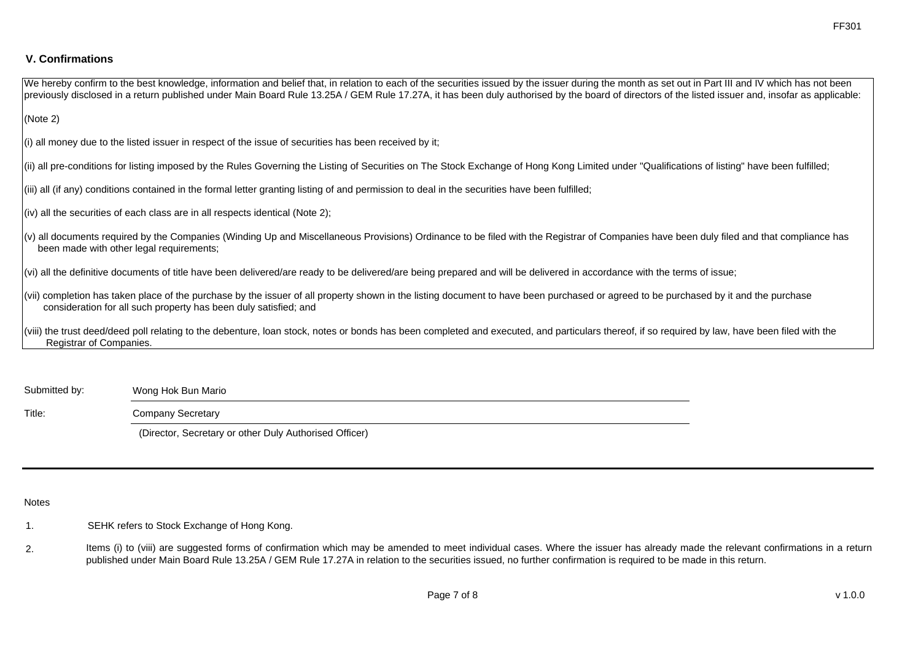# **V. Confirmations**

| We hereby confirm to the best knowledge, information and belief that, in relation to each of the securities issued by the issuer during the month as set out in Part III and IV which has not been<br>previously disclosed in a return published under Main Board Rule 13.25A / GEM Rule 17.27A, it has been duly authorised by the board of directors of the listed issuer and, insofar as applicable: |
|---------------------------------------------------------------------------------------------------------------------------------------------------------------------------------------------------------------------------------------------------------------------------------------------------------------------------------------------------------------------------------------------------------|
| (Note 2)                                                                                                                                                                                                                                                                                                                                                                                                |
| $(i)$ all money due to the listed issuer in respect of the issue of securities has been received by it;                                                                                                                                                                                                                                                                                                 |
| (ii) all pre-conditions for listing imposed by the Rules Governing the Listing of Securities on The Stock Exchange of Hong Kong Limited under "Qualifications of listing" have been fulfilled;                                                                                                                                                                                                          |
| (iii) all (if any) conditions contained in the formal letter granting listing of and permission to deal in the securities have been fulfilled;                                                                                                                                                                                                                                                          |
| $\vert$ (iv) all the securities of each class are in all respects identical (Note 2);                                                                                                                                                                                                                                                                                                                   |
| (v) all documents required by the Companies (Winding Up and Miscellaneous Provisions) Ordinance to be filed with the Registrar of Companies have been duly filed and that compliance has<br>been made with other legal requirements;                                                                                                                                                                    |
| $ v\rangle$ all the definitive documents of title have been delivered/are ready to be delivered/are being prepared and will be delivered in accordance with the terms of issue;                                                                                                                                                                                                                         |
| (vii) completion has taken place of the purchase by the issuer of all property shown in the listing document to have been purchased or agreed to be purchased by it and the purchase<br>consideration for all such property has been duly satisfied; and                                                                                                                                                |
| (viii) the trust deed/deed poll relating to the debenture, loan stock, notes or bonds has been completed and executed, and particulars thereof, if so required by law, have been filed with the<br>Registrar of Companies.                                                                                                                                                                              |
|                                                                                                                                                                                                                                                                                                                                                                                                         |

Submitted by: Wong Hok Bun Mario

Title: Company Secretary

(Director, Secretary or other Duly Authorised Officer)

Notes

1. SEHK refers to Stock Exchange of Hong Kong.

2. Items (i) to (viii) are suggested forms of confirmation which may be amended to meet individual cases. Where the issuer has already made the relevant confirmations in a return published under Main Board Rule 13.25A / GEM Rule 17.27A in relation to the securities issued, no further confirmation is required to be made in this return.